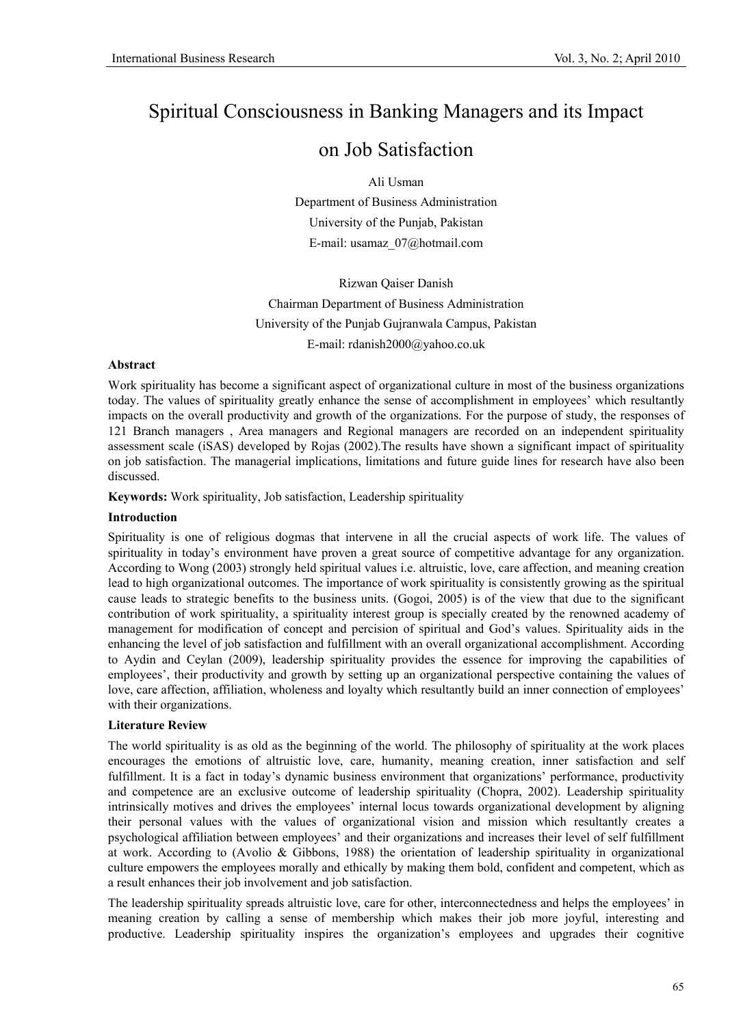# Spiritual Consciousness in Banking Managers and its Impact

# on Job Satisfaction

Ali Usman

Department of Business Administration University of the Punjab, Pakistan E-mail: usamaz\_07@hotmail.com

Rizwan Qaiser Danish Chairman Department of Business Administration University of the Punjab Gujranwala Campus, Pakistan E-mail: rdanish2000@yahoo.co.uk

## **Abstract**

Work spirituality has become a significant aspect of organizational culture in most of the business organizations today. The values of spirituality greatly enhance the sense of accomplishment in employees' which resultantly impacts on the overall productivity and growth of the organizations. For the purpose of study, the responses of 121 Branch managers , Area managers and Regional managers are recorded on an independent spirituality assessment scale (iSAS) developed by Rojas (2002).The results have shown a significant impact of spirituality on job satisfaction. The managerial implications, limitations and future guide lines for research have also been discussed.

**Keywords:** Work spirituality, Job satisfaction, Leadership spirituality

## **Introduction**

Spirituality is one of religious dogmas that intervene in all the crucial aspects of work life. The values of spirituality in today's environment have proven a great source of competitive advantage for any organization. According to Wong (2003) strongly held spiritual values i.e. altruistic, love, care affection, and meaning creation lead to high organizational outcomes. The importance of work spirituality is consistently growing as the spiritual cause leads to strategic benefits to the business units. (Gogoi, 2005) is of the view that due to the significant contribution of work spirituality, a spirituality interest group is specially created by the renowned academy of management for modification of concept and percision of spiritual and God's values. Spirituality aids in the enhancing the level of job satisfaction and fulfillment with an overall organizational accomplishment. According to Aydin and Ceylan (2009), leadership spirituality provides the essence for improving the capabilities of employees', their productivity and growth by setting up an organizational perspective containing the values of love, care affection, affiliation, wholeness and loyalty which resultantly build an inner connection of employees' with their organizations.

# **Literature Review**

The world spirituality is as old as the beginning of the world. The philosophy of spirituality at the work places encourages the emotions of altruistic love, care, humanity, meaning creation, inner satisfaction and self fulfillment. It is a fact in today's dynamic business environment that organizations' performance, productivity and competence are an exclusive outcome of leadership spirituality (Chopra, 2002). Leadership spirituality intrinsically motives and drives the employees' internal locus towards organizational development by aligning their personal values with the values of organizational vision and mission which resultantly creates a psychological affiliation between employees' and their organizations and increases their level of self fulfillment at work. According to (Avolio & Gibbons, 1988) the orientation of leadership spirituality in organizational culture empowers the employees morally and ethically by making them bold, confident and competent, which as a result enhances their job involvement and job satisfaction.

The leadership spirituality spreads altruistic love, care for other, interconnectedness and helps the employees' in meaning creation by calling a sense of membership which makes their job more joyful, interesting and productive. Leadership spirituality inspires the organization's employees and upgrades their cognitive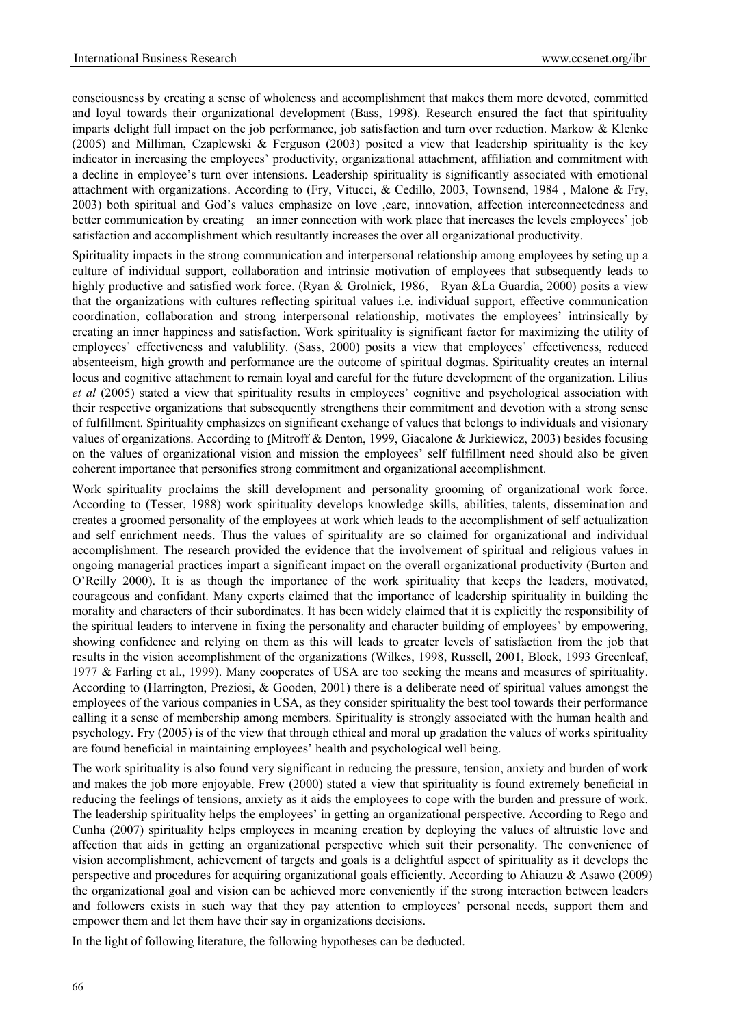consciousness by creating a sense of wholeness and accomplishment that makes them more devoted, committed and loyal towards their organizational development (Bass, 1998). Research ensured the fact that spirituality imparts delight full impact on the job performance, job satisfaction and turn over reduction. Markow & Klenke (2005) and Milliman, Czaplewski & Ferguson (2003) posited a view that leadership spirituality is the key indicator in increasing the employees' productivity, organizational attachment, affiliation and commitment with a decline in employee's turn over intensions. Leadership spirituality is significantly associated with emotional attachment with organizations. According to (Fry, Vitucci, & Cedillo, 2003, Townsend, 1984 , Malone & Fry, 2003) both spiritual and God's values emphasize on love ,care, innovation, affection interconnectedness and better communication by creating an inner connection with work place that increases the levels employees' job satisfaction and accomplishment which resultantly increases the over all organizational productivity.

Spirituality impacts in the strong communication and interpersonal relationship among employees by seting up a culture of individual support, collaboration and intrinsic motivation of employees that subsequently leads to highly productive and satisfied work force. (Ryan & Grolnick, 1986, Ryan &La Guardia, 2000) posits a view that the organizations with cultures reflecting spiritual values i.e. individual support, effective communication coordination, collaboration and strong interpersonal relationship, motivates the employees' intrinsically by creating an inner happiness and satisfaction. Work spirituality is significant factor for maximizing the utility of employees' effectiveness and valublility. (Sass, 2000) posits a view that employees' effectiveness, reduced absenteeism, high growth and performance are the outcome of spiritual dogmas. Spirituality creates an internal locus and cognitive attachment to remain loyal and careful for the future development of the organization. Lilius *et al* (2005) stated a view that spirituality results in employees' cognitive and psychological association with their respective organizations that subsequently strengthens their commitment and devotion with a strong sense of fulfillment. Spirituality emphasizes on significant exchange of values that belongs to individuals and visionary values of organizations. According to (Mitroff & Denton, 1999, Giacalone & Jurkiewicz, 2003) besides focusing on the values of organizational vision and mission the employees' self fulfillment need should also be given coherent importance that personifies strong commitment and organizational accomplishment.

Work spirituality proclaims the skill development and personality grooming of organizational work force. According to (Tesser, 1988) work spirituality develops knowledge skills, abilities, talents, dissemination and creates a groomed personality of the employees at work which leads to the accomplishment of self actualization and self enrichment needs. Thus the values of spirituality are so claimed for organizational and individual accomplishment. The research provided the evidence that the involvement of spiritual and religious values in ongoing managerial practices impart a significant impact on the overall organizational productivity (Burton and O'Reilly 2000). It is as though the importance of the work spirituality that keeps the leaders, motivated, courageous and confidant. Many experts claimed that the importance of leadership spirituality in building the morality and characters of their subordinates. It has been widely claimed that it is explicitly the responsibility of the spiritual leaders to intervene in fixing the personality and character building of employees' by empowering, showing confidence and relying on them as this will leads to greater levels of satisfaction from the job that results in the vision accomplishment of the organizations (Wilkes, 1998, Russell, 2001, Block, 1993 Greenleaf, 1977 & Farling et al., 1999). Many cooperates of USA are too seeking the means and measures of spirituality. According to (Harrington, Preziosi, & Gooden, 2001) there is a deliberate need of spiritual values amongst the employees of the various companies in USA, as they consider spirituality the best tool towards their performance calling it a sense of membership among members. Spirituality is strongly associated with the human health and psychology. Fry (2005) is of the view that through ethical and moral up gradation the values of works spirituality are found beneficial in maintaining employees' health and psychological well being.

The work spirituality is also found very significant in reducing the pressure, tension, anxiety and burden of work and makes the job more enjoyable. Frew (2000) stated a view that spirituality is found extremely beneficial in reducing the feelings of tensions, anxiety as it aids the employees to cope with the burden and pressure of work. The leadership spirituality helps the employees' in getting an organizational perspective. According to Rego and Cunha (2007) spirituality helps employees in meaning creation by deploying the values of altruistic love and affection that aids in getting an organizational perspective which suit their personality. The convenience of vision accomplishment, achievement of targets and goals is a delightful aspect of spirituality as it develops the perspective and procedures for acquiring organizational goals efficiently. According to Ahiauzu & Asawo (2009) the organizational goal and vision can be achieved more conveniently if the strong interaction between leaders and followers exists in such way that they pay attention to employees' personal needs, support them and empower them and let them have their say in organizations decisions.

In the light of following literature, the following hypotheses can be deducted.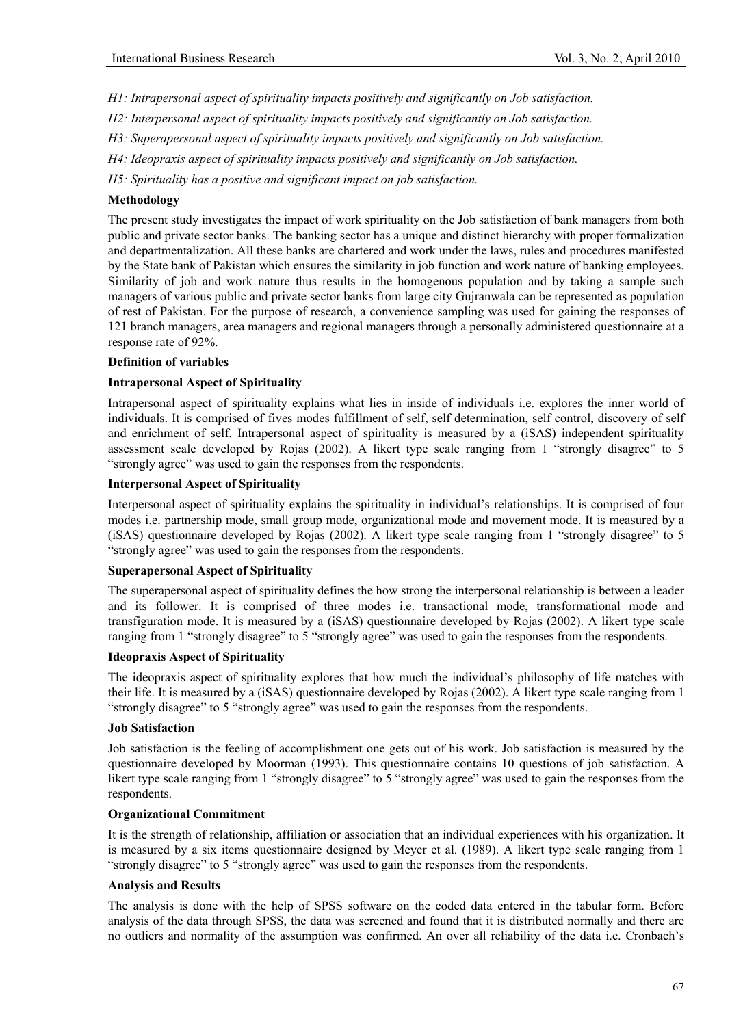- *H1: Intrapersonal aspect of spirituality impacts positively and significantly on Job satisfaction.*
- *H2: Interpersonal aspect of spirituality impacts positively and significantly on Job satisfaction.*
- *H3: Superapersonal aspect of spirituality impacts positively and significantly on Job satisfaction.*
- *H4: Ideopraxis aspect of spirituality impacts positively and significantly on Job satisfaction.*

*H5: Spirituality has a positive and significant impact on job satisfaction.* 

## **Methodology**

The present study investigates the impact of work spirituality on the Job satisfaction of bank managers from both public and private sector banks. The banking sector has a unique and distinct hierarchy with proper formalization and departmentalization. All these banks are chartered and work under the laws, rules and procedures manifested by the State bank of Pakistan which ensures the similarity in job function and work nature of banking employees. Similarity of job and work nature thus results in the homogenous population and by taking a sample such managers of various public and private sector banks from large city Gujranwala can be represented as population of rest of Pakistan. For the purpose of research, a convenience sampling was used for gaining the responses of 121 branch managers, area managers and regional managers through a personally administered questionnaire at a response rate of 92%.

#### **Definition of variables**

#### **Intrapersonal Aspect of Spirituality**

Intrapersonal aspect of spirituality explains what lies in inside of individuals i.e. explores the inner world of individuals. It is comprised of fives modes fulfillment of self, self determination, self control, discovery of self and enrichment of self. Intrapersonal aspect of spirituality is measured by a (iSAS) independent spirituality assessment scale developed by Rojas (2002). A likert type scale ranging from 1 "strongly disagree" to 5 "strongly agree" was used to gain the responses from the respondents.

#### **Interpersonal Aspect of Spirituality**

Interpersonal aspect of spirituality explains the spirituality in individual's relationships. It is comprised of four modes i.e. partnership mode, small group mode, organizational mode and movement mode. It is measured by a (iSAS) questionnaire developed by Rojas (2002). A likert type scale ranging from 1 "strongly disagree" to 5 "strongly agree" was used to gain the responses from the respondents.

## **Superapersonal Aspect of Spirituality**

The superapersonal aspect of spirituality defines the how strong the interpersonal relationship is between a leader and its follower. It is comprised of three modes i.e. transactional mode, transformational mode and transfiguration mode. It is measured by a (iSAS) questionnaire developed by Rojas (2002). A likert type scale ranging from 1 "strongly disagree" to 5 "strongly agree" was used to gain the responses from the respondents.

## **Ideopraxis Aspect of Spirituality**

The ideopraxis aspect of spirituality explores that how much the individual's philosophy of life matches with their life. It is measured by a (iSAS) questionnaire developed by Rojas (2002). A likert type scale ranging from 1 "strongly disagree" to 5 "strongly agree" was used to gain the responses from the respondents.

#### **Job Satisfaction**

Job satisfaction is the feeling of accomplishment one gets out of his work. Job satisfaction is measured by the questionnaire developed by Moorman (1993). This questionnaire contains 10 questions of job satisfaction. A likert type scale ranging from 1 "strongly disagree" to 5 "strongly agree" was used to gain the responses from the respondents.

### **Organizational Commitment**

It is the strength of relationship, affiliation or association that an individual experiences with his organization. It is measured by a six items questionnaire designed by Meyer et al. (1989). A likert type scale ranging from 1 "strongly disagree" to 5 "strongly agree" was used to gain the responses from the respondents.

#### **Analysis and Results**

The analysis is done with the help of SPSS software on the coded data entered in the tabular form. Before analysis of the data through SPSS, the data was screened and found that it is distributed normally and there are no outliers and normality of the assumption was confirmed. An over all reliability of the data i.e. Cronbach's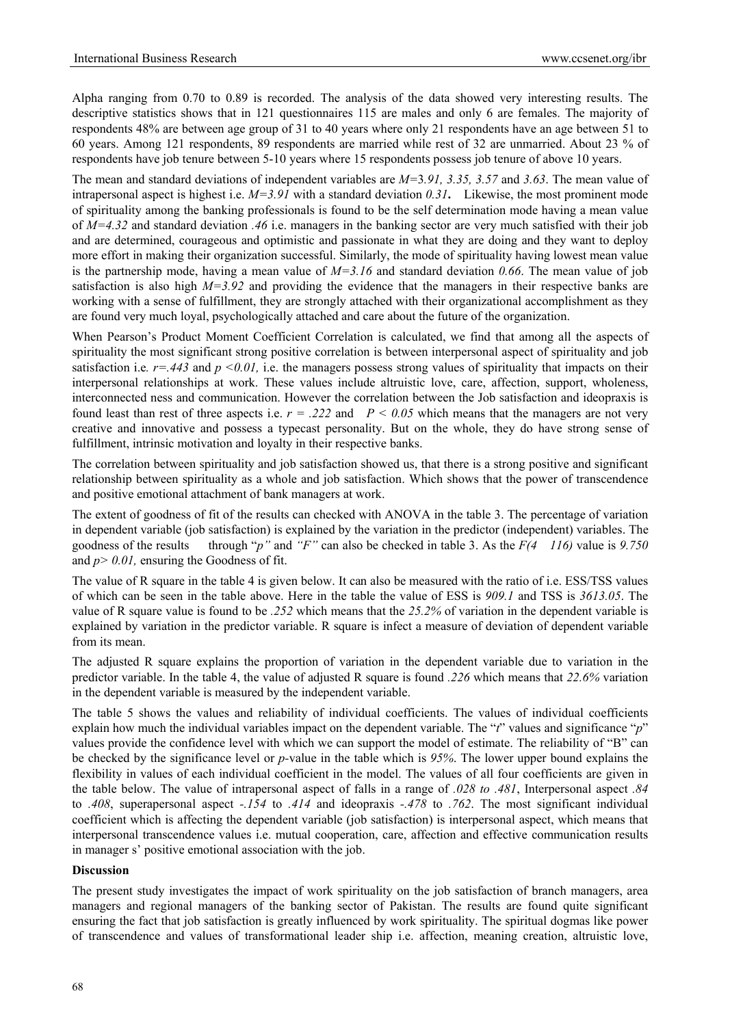Alpha ranging from 0.70 to 0.89 is recorded. The analysis of the data showed very interesting results. The descriptive statistics shows that in 121 questionnaires 115 are males and only 6 are females. The majority of respondents 48% are between age group of 31 to 40 years where only 21 respondents have an age between 51 to 60 years. Among 121 respondents, 89 respondents are married while rest of 32 are unmarried. About 23 % of respondents have job tenure between 5-10 years where 15 respondents possess job tenure of above 10 years.

The mean and standard deviations of independent variables are *M=*3*.91, 3.35, 3.57* and *3.63*. The mean value of intrapersonal aspect is highest i.e. *M=3.91* with a standard deviation *0.31***.** Likewise, the most prominent mode of spirituality among the banking professionals is found to be the self determination mode having a mean value of *M=4.32* and standard deviation *.46* i.e. managers in the banking sector are very much satisfied with their job and are determined, courageous and optimistic and passionate in what they are doing and they want to deploy more effort in making their organization successful. Similarly, the mode of spirituality having lowest mean value is the partnership mode, having a mean value of  $M=3.16$  and standard deviation 0.66. The mean value of job satisfaction is also high  $M=3.92$  and providing the evidence that the managers in their respective banks are working with a sense of fulfillment, they are strongly attached with their organizational accomplishment as they are found very much loyal, psychologically attached and care about the future of the organization.

When Pearson's Product Moment Coefficient Correlation is calculated, we find that among all the aspects of spirituality the most significant strong positive correlation is between interpersonal aspect of spirituality and job satisfaction i.e.  $r = .443$  and  $p \le 0.01$ , i.e. the managers possess strong values of spirituality that impacts on their interpersonal relationships at work. These values include altruistic love, care, affection, support, wholeness, interconnected ness and communication. However the correlation between the Job satisfaction and ideopraxis is found least than rest of three aspects i.e.  $r = .222$  and  $P \le 0.05$  which means that the managers are not very creative and innovative and possess a typecast personality. But on the whole, they do have strong sense of fulfillment, intrinsic motivation and loyalty in their respective banks.

The correlation between spirituality and job satisfaction showed us, that there is a strong positive and significant relationship between spirituality as a whole and job satisfaction. Which shows that the power of transcendence and positive emotional attachment of bank managers at work.

The extent of goodness of fit of the results can checked with ANOVA in the table 3. The percentage of variation in dependent variable (job satisfaction) is explained by the variation in the predictor (independent) variables. The goodness of the results through "*p*" and "*F*" can also be checked in table 3. As the  $F(4 \mid 116)$  value is 9.750 and *p> 0.01,* ensuring the Goodness of fit.

The value of R square in the table 4 is given below. It can also be measured with the ratio of i.e. ESS/TSS values of which can be seen in the table above. Here in the table the value of ESS is *909.1* and TSS is *3613.05*. The value of R square value is found to be *.252* which means that the *25.2%* of variation in the dependent variable is explained by variation in the predictor variable. R square is infect a measure of deviation of dependent variable from its mean.

The adjusted R square explains the proportion of variation in the dependent variable due to variation in the predictor variable. In the table 4, the value of adjusted R square is found *.226* which means that *22.6%* variation in the dependent variable is measured by the independent variable.

The table 5 shows the values and reliability of individual coefficients. The values of individual coefficients explain how much the individual variables impact on the dependent variable. The "*t*" values and significance "*p*" values provide the confidence level with which we can support the model of estimate. The reliability of "B" can be checked by the significance level or *p-*value in the table which is *95%*. The lower upper bound explains the flexibility in values of each individual coefficient in the model. The values of all four coefficients are given in the table below. The value of intrapersonal aspect of falls in a range of *.028 to .481*, Interpersonal aspect *.84* to *.408*, superapersonal aspect *-.154* to *.414* and ideopraxis *-.478* to *.762*. The most significant individual coefficient which is affecting the dependent variable (job satisfaction) is interpersonal aspect, which means that interpersonal transcendence values i.e. mutual cooperation, care, affection and effective communication results in manager s' positive emotional association with the job.

#### **Discussion**

The present study investigates the impact of work spirituality on the job satisfaction of branch managers, area managers and regional managers of the banking sector of Pakistan. The results are found quite significant ensuring the fact that job satisfaction is greatly influenced by work spirituality. The spiritual dogmas like power of transcendence and values of transformational leader ship i.e. affection, meaning creation, altruistic love,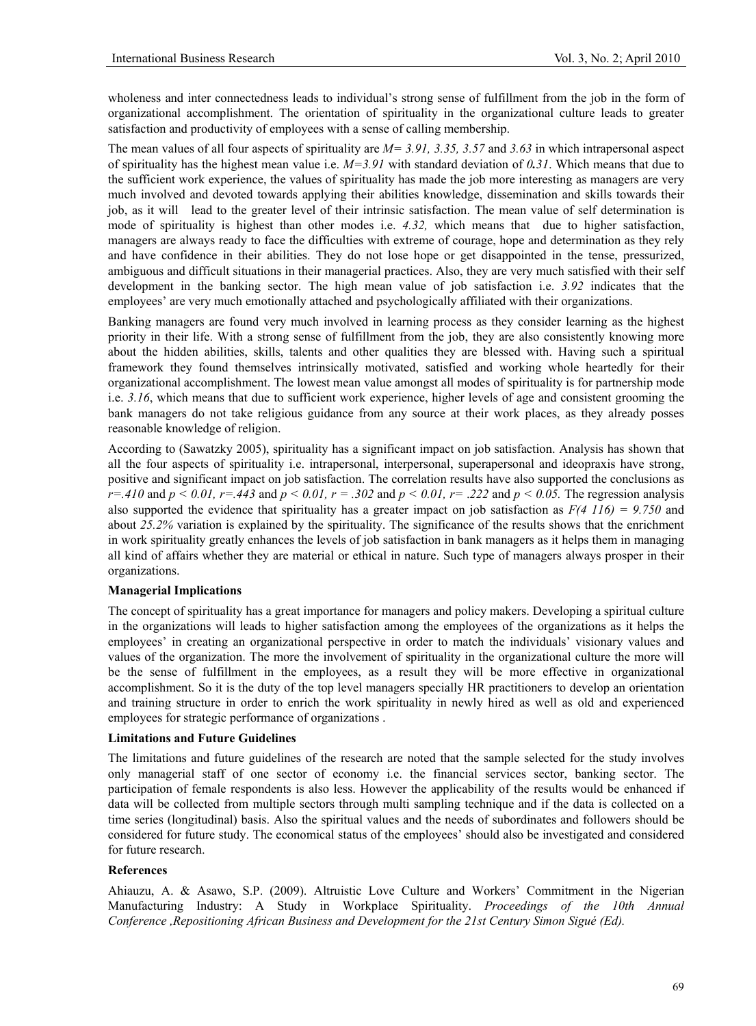wholeness and inter connectedness leads to individual's strong sense of fulfillment from the job in the form of organizational accomplishment. The orientation of spirituality in the organizational culture leads to greater satisfaction and productivity of employees with a sense of calling membership.

The mean values of all four aspects of spirituality are *M= 3.91, 3.35, 3.57* and *3.63* in which intrapersonal aspect of spirituality has the highest mean value i.e. *M=3.91* with standard deviation of *0.31*. Which means that due to the sufficient work experience, the values of spirituality has made the job more interesting as managers are very much involved and devoted towards applying their abilities knowledge, dissemination and skills towards their job, as it will lead to the greater level of their intrinsic satisfaction. The mean value of self determination is mode of spirituality is highest than other modes i.e. *4.32,* which means that due to higher satisfaction, managers are always ready to face the difficulties with extreme of courage, hope and determination as they rely and have confidence in their abilities. They do not lose hope or get disappointed in the tense, pressurized, ambiguous and difficult situations in their managerial practices. Also, they are very much satisfied with their self development in the banking sector. The high mean value of job satisfaction i.e. *3.92* indicates that the employees' are very much emotionally attached and psychologically affiliated with their organizations.

Banking managers are found very much involved in learning process as they consider learning as the highest priority in their life. With a strong sense of fulfillment from the job, they are also consistently knowing more about the hidden abilities, skills, talents and other qualities they are blessed with. Having such a spiritual framework they found themselves intrinsically motivated, satisfied and working whole heartedly for their organizational accomplishment. The lowest mean value amongst all modes of spirituality is for partnership mode i.e. *3.16*, which means that due to sufficient work experience, higher levels of age and consistent grooming the bank managers do not take religious guidance from any source at their work places, as they already posses reasonable knowledge of religion.

According to (Sawatzky 2005), spirituality has a significant impact on job satisfaction. Analysis has shown that all the four aspects of spirituality i.e. intrapersonal, interpersonal, superapersonal and ideopraxis have strong, positive and significant impact on job satisfaction. The correlation results have also supported the conclusions as *r*=.410 and  $p < 0.01$ , *r*=.443 and  $p < 0.01$ , *r* = .302 and  $p < 0.01$ , *r* = .222 and  $p < 0.05$ . The regression analysis also supported the evidence that spirituality has a greater impact on job satisfaction as *F(4 116) = 9.750* and about *25.2%* variation is explained by the spirituality. The significance of the results shows that the enrichment in work spirituality greatly enhances the levels of job satisfaction in bank managers as it helps them in managing all kind of affairs whether they are material or ethical in nature. Such type of managers always prosper in their organizations.

#### **Managerial Implications**

The concept of spirituality has a great importance for managers and policy makers. Developing a spiritual culture in the organizations will leads to higher satisfaction among the employees of the organizations as it helps the employees' in creating an organizational perspective in order to match the individuals' visionary values and values of the organization. The more the involvement of spirituality in the organizational culture the more will be the sense of fulfillment in the employees, as a result they will be more effective in organizational accomplishment. So it is the duty of the top level managers specially HR practitioners to develop an orientation and training structure in order to enrich the work spirituality in newly hired as well as old and experienced employees for strategic performance of organizations .

#### **Limitations and Future Guidelines**

The limitations and future guidelines of the research are noted that the sample selected for the study involves only managerial staff of one sector of economy i.e. the financial services sector, banking sector. The participation of female respondents is also less. However the applicability of the results would be enhanced if data will be collected from multiple sectors through multi sampling technique and if the data is collected on a time series (longitudinal) basis. Also the spiritual values and the needs of subordinates and followers should be considered for future study. The economical status of the employees' should also be investigated and considered for future research.

#### **References**

Ahiauzu, A. & Asawo, S.P. (2009). Altruistic Love Culture and Workers' Commitment in the Nigerian Manufacturing Industry: A Study in Workplace Spirituality. *Proceedings of the 10th Annual Conference ,Repositioning African Business and Development for the 21st Century Simon Sigué (Ed).*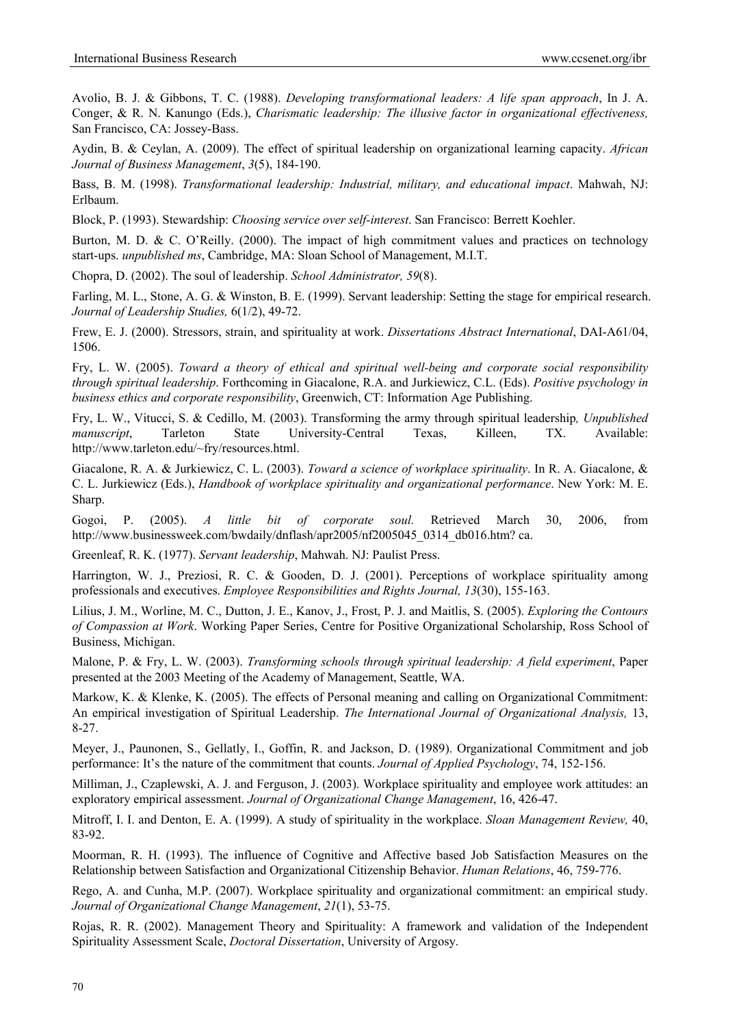Avolio, B. J. & Gibbons, T. C. (1988). *Developing transformational leaders: A life span approach*, In J. A. Conger, & R. N. Kanungo (Eds.), *Charismatic leadership: The illusive factor in organizational effectiveness,* San Francisco, CA: Jossey-Bass.

Aydin, B. & Ceylan, A. (2009). The effect of spiritual leadership on organizational learning capacity. *African Journal of Business Management*, *3*(5), 184-190.

Bass, B. M. (1998). *Transformational leadership: Industrial, military, and educational impact*. Mahwah, NJ: Erlbaum.

Block, P. (1993). Stewardship: *Choosing service over self-interest*. San Francisco: Berrett Koehler.

Burton, M. D. & C. O'Reilly. (2000). The impact of high commitment values and practices on technology start-ups. *unpublished ms*, Cambridge, MA: Sloan School of Management, M.I.T.

Chopra, D. (2002). The soul of leadership. *School Administrator, 59*(8).

Farling, M. L., Stone, A. G. & Winston, B. E. (1999). Servant leadership: Setting the stage for empirical research. *Journal of Leadership Studies,* 6(1/2), 49-72.

Frew, E. J. (2000). Stressors, strain, and spirituality at work. *Dissertations Abstract International*, DAI-A61/04, 1506.

Fry, L. W. (2005). *Toward a theory of ethical and spiritual well-being and corporate social responsibility through spiritual leadership*. Forthcoming in Giacalone, R.A. and Jurkiewicz, C.L. (Eds). *Positive psychology in business ethics and corporate responsibility*, Greenwich, CT: Information Age Publishing.

Fry, L. W., Vitucci, S. & Cedillo, M. (2003). Transforming the army through spiritual leadership*, Unpublished manuscript*, Tarleton State University-Central Texas, Killeen, TX. Available: http://www.tarleton.edu/~fry/resources.html.

Giacalone, R. A. & Jurkiewicz, C. L. (2003). *Toward a science of workplace spirituality*. In R. A. Giacalone, & C. L. Jurkiewicz (Eds.), *Handbook of workplace spirituality and organizational performance*. New York: M. E. Sharp.

Gogoi, P. (2005). *A little bit of corporate soul.* Retrieved March 30, 2006, from http://www.businessweek.com/bwdaily/dnflash/apr2005/nf2005045\_0314\_db016.htm? ca.

Greenleaf, R. K. (1977). *Servant leadership*, Mahwah. NJ: Paulist Press.

Harrington, W. J., Preziosi, R. C. & Gooden, D. J. (2001). Perceptions of workplace spirituality among professionals and executives. *Employee Responsibilities and Rights Journal, 13*(30), 155-163.

Lilius, J. M., Worline, M. C., Dutton, J. E., Kanov, J., Frost, P. J. and Maitlis, S. (2005). *Exploring the Contours of Compassion at Work*. Working Paper Series, Centre for Positive Organizational Scholarship, Ross School of Business, Michigan.

Malone, P. & Fry, L. W. (2003). *Transforming schools through spiritual leadership: A field experiment*, Paper presented at the 2003 Meeting of the Academy of Management, Seattle, WA.

Markow, K. & Klenke, K. (2005). The effects of Personal meaning and calling on Organizational Commitment: An empirical investigation of Spiritual Leadership. *The International Journal of Organizational Analysis,* 13, 8-27.

Meyer, J., Paunonen, S., Gellatly, I., Goffin, R. and Jackson, D. (1989). Organizational Commitment and job performance: It's the nature of the commitment that counts. *Journal of Applied Psychology*, 74, 152-156.

Milliman, J., Czaplewski, A. J. and Ferguson, J. (2003). Workplace spirituality and employee work attitudes: an exploratory empirical assessment. *Journal of Organizational Change Management*, 16, 426-47.

Mitroff, I. I. and Denton, E. A. (1999). A study of spirituality in the workplace. *Sloan Management Review,* 40, 83-92.

Moorman, R. H. (1993). The influence of Cognitive and Affective based Job Satisfaction Measures on the Relationship between Satisfaction and Organizational Citizenship Behavior. *Human Relations*, 46, 759-776.

Rego, A. and Cunha, M.P. (2007). Workplace spirituality and organizational commitment: an empirical study. *Journal of Organizational Change Management*, *21*(1), 53-75.

Rojas, R. R. (2002). Management Theory and Spirituality: A framework and validation of the Independent Spirituality Assessment Scale, *Doctoral Dissertation*, University of Argosy.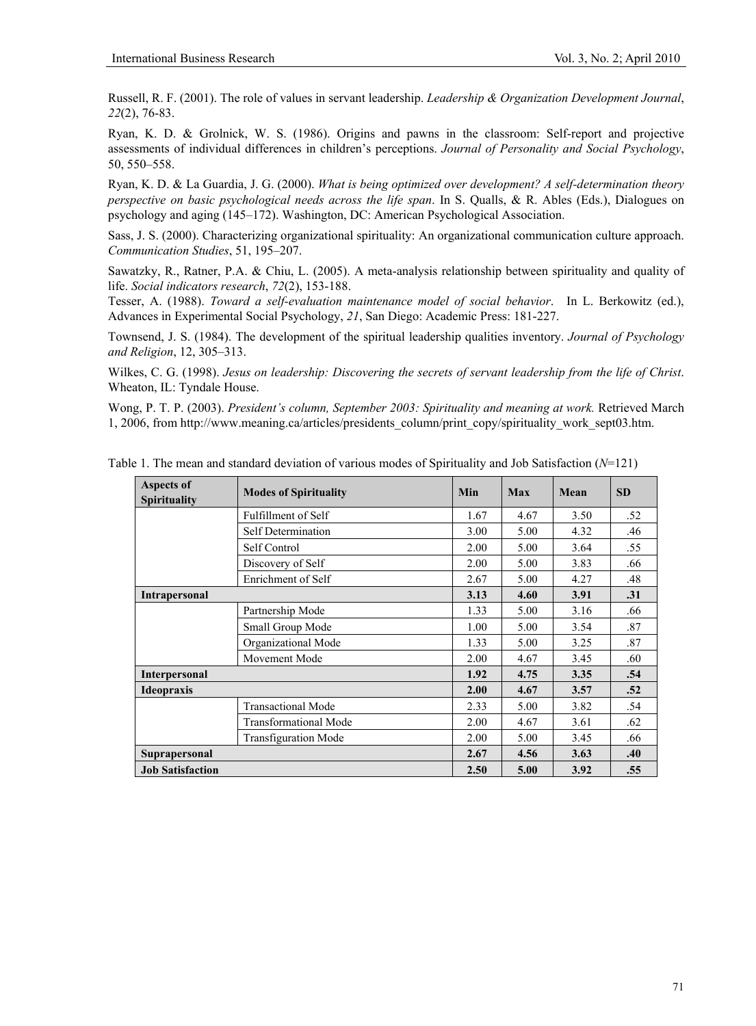Russell, R. F. (2001). The role of values in servant leadership. *Leadership & Organization Development Journal*, *22*(2), 76-83.

Ryan, K. D. & Grolnick, W. S. (1986). Origins and pawns in the classroom: Self-report and projective assessments of individual differences in children's perceptions. *Journal of Personality and Social Psychology*, 50, 550–558.

Ryan, K. D. & La Guardia, J. G. (2000). *What is being optimized over development? A self-determination theory perspective on basic psychological needs across the life span*. In S. Qualls, & R. Ables (Eds.), Dialogues on psychology and aging (145–172). Washington, DC: American Psychological Association.

Sass, J. S. (2000). Characterizing organizational spirituality: An organizational communication culture approach. *Communication Studies*, 51, 195–207.

Sawatzky, R., Ratner, P.A. & Chiu, L. (2005). A meta-analysis relationship between spirituality and quality of life. *Social indicators research*, *72*(2), 153-188.

Tesser, A. (1988). *Toward a self-evaluation maintenance model of social behavior*. In L. Berkowitz (ed.), Advances in Experimental Social Psychology, *21*, San Diego: Academic Press: 181-227.

Townsend, J. S. (1984). The development of the spiritual leadership qualities inventory. *Journal of Psychology and Religion*, 12, 305–313.

Wilkes, C. G. (1998). *Jesus on leadership: Discovering the secrets of servant leadership from the life of Christ*. Wheaton, IL: Tyndale House.

Wong, P. T. P. (2003). *President's column, September 2003: Spirituality and meaning at work.* Retrieved March 1, 2006, from http://www.meaning.ca/articles/presidents\_column/print\_copy/spirituality\_work\_sept03.htm.

| <b>Aspects of</b><br><b>Spirituality</b> | <b>Modes of Spirituality</b> | Min  | <b>Max</b> | Mean | <b>SD</b> |
|------------------------------------------|------------------------------|------|------------|------|-----------|
|                                          | Fulfillment of Self          | 1.67 | 4.67       | 3.50 | .52       |
|                                          | <b>Self Determination</b>    | 3.00 | 5.00       | 4.32 | .46       |
|                                          | Self Control                 | 2.00 | 5.00       | 3.64 | .55       |
|                                          | Discovery of Self            | 2.00 | 5.00       | 3.83 | .66       |
|                                          | Enrichment of Self           | 2.67 | 5.00       | 4.27 | .48       |
| <b>Intrapersonal</b>                     |                              | 3.13 | 4.60       | 3.91 | .31       |
|                                          | Partnership Mode             | 1.33 | 5.00       | 3.16 | .66       |
|                                          | Small Group Mode             | 1.00 | 5.00       | 3.54 | .87       |
|                                          | Organizational Mode          | 1.33 | 5.00       | 3.25 | .87       |
|                                          | Movement Mode                | 2.00 | 4.67       | 3.45 | .60       |
| <b>Interpersonal</b>                     |                              | 1.92 | 4.75       | 3.35 | .54       |
| <b>Ideopraxis</b>                        |                              | 2.00 | 4.67       | 3.57 | .52       |
|                                          | <b>Transactional Mode</b>    | 2.33 | 5.00       | 3.82 | .54       |
|                                          | <b>Transformational Mode</b> | 2.00 | 4.67       | 3.61 | .62       |
|                                          | <b>Transfiguration Mode</b>  | 2.00 | 5.00       | 3.45 | .66       |
| <b>Suprapersonal</b>                     | 2.67                         | 4.56 | 3.63       | .40  |           |
| <b>Job Satisfaction</b>                  |                              | 2.50 | 5.00       | 3.92 | .55       |

Table 1. The mean and standard deviation of various modes of Spirituality and Job Satisfaction (*N*=121)